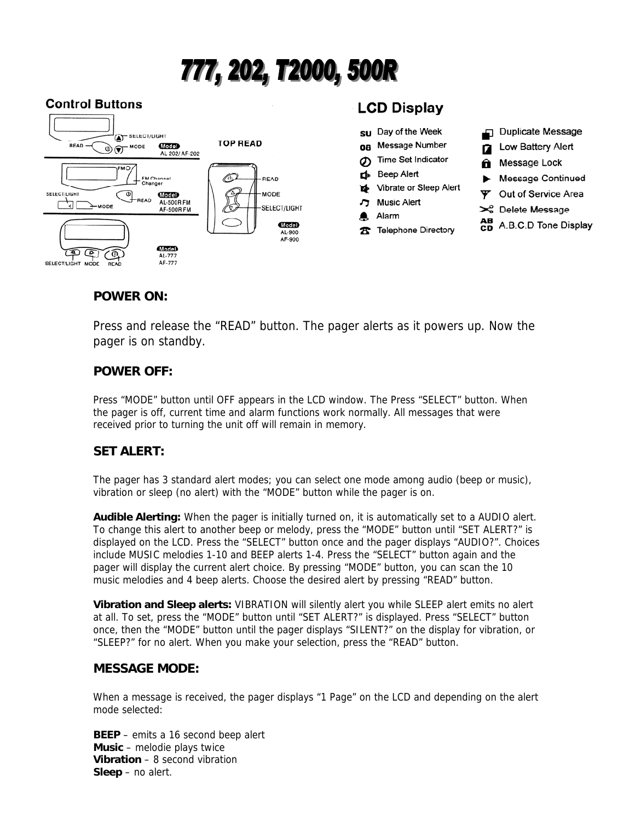# 777, 202, T2000, 500R

#### **Control Buttons**



# **LCD Display**

の

d

A

Alarm



## **POWER ON:**

Press and release the "READ" button. The pager alerts as it powers up. Now the pager is on standby.

#### **POWER OFF:**

Press "MODE" button until OFF appears in the LCD window. The Press "SELECT" button. When the pager is off, current time and alarm functions work normally. All messages that were received prior to turning the unit off will remain in memory.

#### **SET ALERT:**

The pager has 3 standard alert modes; you can select one mode among audio (beep or music), vibration or sleep (no alert) with the "MODE" button while the pager is on.

**Audible Alerting:** When the pager is initially turned on, it is automatically set to a AUDIO alert. To change this alert to another beep or melody, press the "MODE" button until "SET ALERT?" is displayed on the LCD. Press the "SELECT" button once and the pager displays "AUDIO?". Choices include MUSIC melodies 1-10 and BEEP alerts 1-4. Press the "SELECT" button again and the pager will display the current alert choice. By pressing "MODE" button, you can scan the 10 music melodies and 4 beep alerts. Choose the desired alert by pressing "READ" button.

**Vibration and Sleep alerts:** VIBRATION will silently alert you while SLEEP alert emits no alert at all. To set, press the "MODE" button until "SET ALERT?" is displayed. Press "SELECT" button once, then the "MODE" button until the pager displays "SILENT?" on the display for vibration, or "SLEEP?" for no alert. When you make your selection, press the "READ" button.

#### **MESSAGE MODE:**

When a message is received, the pager displays "1 Page" on the LCD and depending on the alert mode selected:

**BEEP** – emits a 16 second beep alert **Music** – melodie plays twice **Vibration** – 8 second vibration **Sleep** – no alert.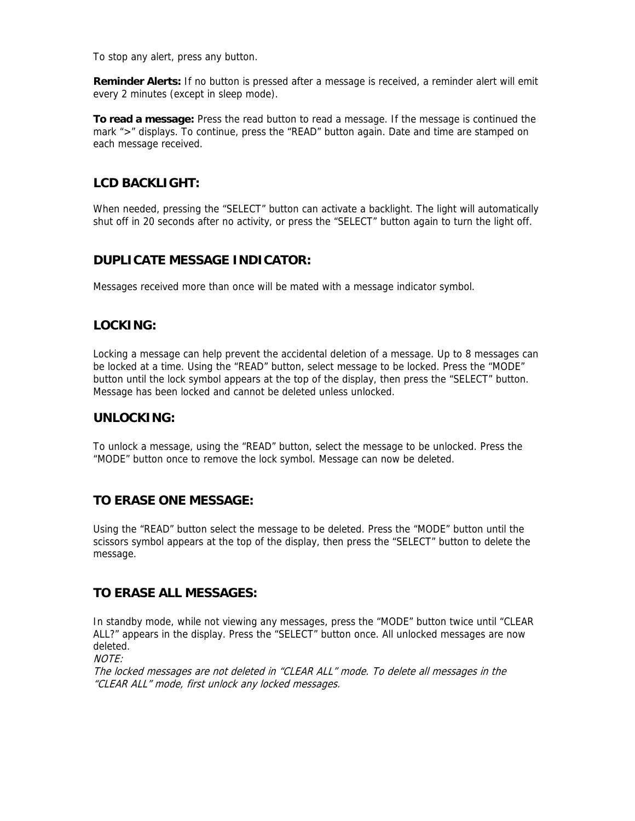To stop any alert, press any button.

**Reminder Alerts:** If no button is pressed after a message is received, a reminder alert will emit every 2 minutes (except in sleep mode).

**To read a message:** Press the read button to read a message. If the message is continued the mark ">" displays. To continue, press the "READ" button again. Date and time are stamped on each message received.

# **LCD BACKLIGHT:**

When needed, pressing the "SELECT" button can activate a backlight. The light will automatically shut off in 20 seconds after no activity, or press the "SELECT" button again to turn the light off.

#### **DUPLICATE MESSAGE INDICATOR:**

Messages received more than once will be mated with a message indicator symbol.

## **LOCKING:**

Locking a message can help prevent the accidental deletion of a message. Up to 8 messages can be locked at a time. Using the "READ" button, select message to be locked. Press the "MODE" button until the lock symbol appears at the top of the display, then press the "SELECT" button. Message has been locked and cannot be deleted unless unlocked.

#### **UNLOCKING:**

To unlock a message, using the "READ" button, select the message to be unlocked. Press the "MODE" button once to remove the lock symbol. Message can now be deleted.

#### **TO ERASE ONE MESSAGE:**

Using the "READ" button select the message to be deleted. Press the "MODE" button until the scissors symbol appears at the top of the display, then press the "SELECT" button to delete the message.

#### **TO ERASE ALL MESSAGES:**

In standby mode, while not viewing any messages, press the "MODE" button twice until "CLEAR ALL?" appears in the display. Press the "SELECT" button once. All unlocked messages are now deleted.

```
MOTF
```
The locked messages are not deleted in "CLEAR ALL" mode. To delete all messages in the "CLEAR ALL" mode, first unlock any locked messages.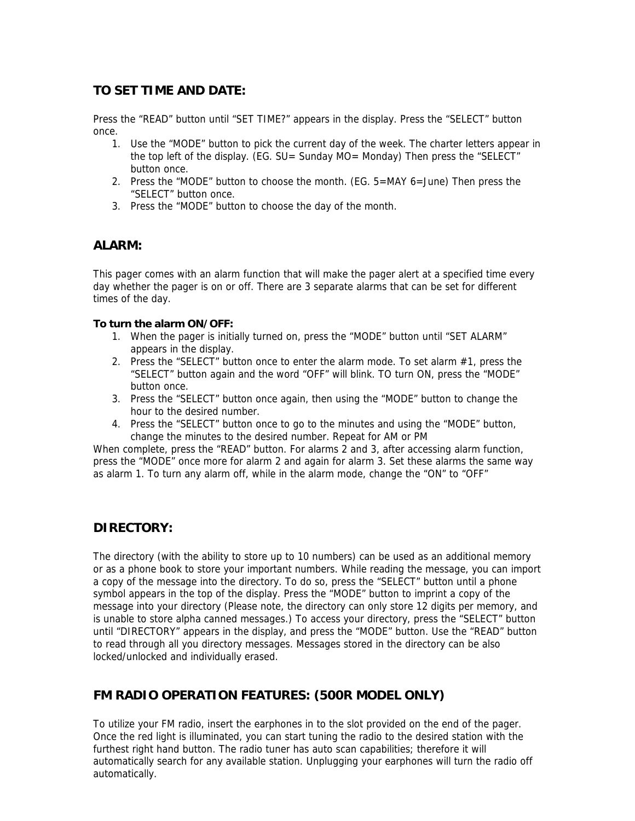#### **TO SET TIME AND DATE:**

Press the "READ" button until "SET TIME?" appears in the display. Press the "SELECT" button once.

- 1. Use the "MODE" button to pick the current day of the week. The charter letters appear in the top left of the display. (EG. SU= Sunday MO= Monday) Then press the "SELECT" button once.
- 2. Press the "MODE" button to choose the month. (EG. 5=MAY 6=June) Then press the "SELECT" button once.
- 3. Press the "MODE" button to choose the day of the month.

#### **ALARM:**

This pager comes with an alarm function that will make the pager alert at a specified time every day whether the pager is on or off. There are 3 separate alarms that can be set for different times of the day.

#### **To turn the alarm ON/OFF:**

- 1. When the pager is initially turned on, press the "MODE" button until "SET ALARM" appears in the display.
- 2. Press the "SELECT" button once to enter the alarm mode. To set alarm #1, press the "SELECT" button again and the word "OFF" will blink. TO turn ON, press the "MODE" button once.
- 3. Press the "SELECT" button once again, then using the "MODE" button to change the hour to the desired number.
- 4. Press the "SELECT" button once to go to the minutes and using the "MODE" button, change the minutes to the desired number. Repeat for AM or PM

When complete, press the "READ" button. For alarms 2 and 3, after accessing alarm function, press the "MODE" once more for alarm 2 and again for alarm 3. Set these alarms the same way as alarm 1. To turn any alarm off, while in the alarm mode, change the "ON" to "OFF"

#### **DIRECTORY:**

The directory (with the ability to store up to 10 numbers) can be used as an additional memory or as a phone book to store your important numbers. While reading the message, you can import a copy of the message into the directory. To do so, press the "SELECT" button until a phone symbol appears in the top of the display. Press the "MODE" button to imprint a copy of the message into your directory (Please note, the directory can only store 12 digits per memory, and is unable to store alpha canned messages.) To access your directory, press the "SELECT" button until "DIRECTORY" appears in the display, and press the "MODE" button. Use the "READ" button to read through all you directory messages. Messages stored in the directory can be also locked/unlocked and individually erased.

# **FM RADIO OPERATION FEATURES: (500R MODEL ONLY)**

To utilize your FM radio, insert the earphones in to the slot provided on the end of the pager. Once the red light is illuminated, you can start tuning the radio to the desired station with the furthest right hand button. The radio tuner has auto scan capabilities; therefore it will automatically search for any available station. Unplugging your earphones will turn the radio off automatically.